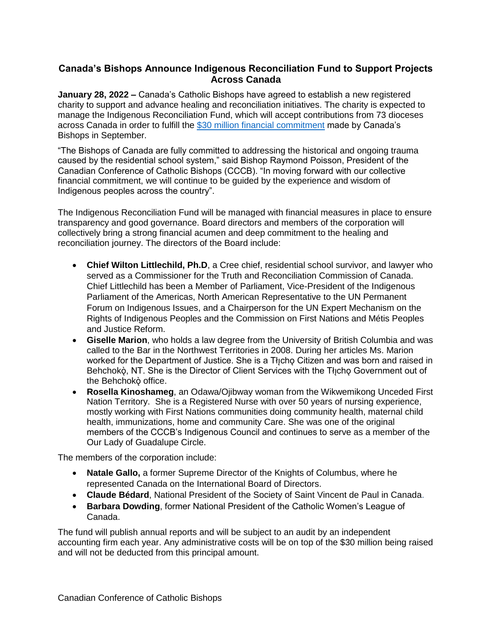## **Canada's Bishops Announce Indigenous Reconciliation Fund to Support Projects Across Canada**

**January 28, 2022 –** Canada's Catholic Bishops have agreed to establish a new registered charity to support and advance healing and reconciliation initiatives. The charity is expected to manage the Indigenous Reconciliation Fund, which will accept contributions from 73 dioceses across Canada in order to fulfill the [\\$30 million financial commitment](https://www.cccb.ca/media-release/canadian-bishops-announce-30m-national-financial-pledge-to-support-healing-and-reconciliation-initiatives/) made by Canada's Bishops in September.

"The Bishops of Canada are fully committed to addressing the historical and ongoing trauma caused by the residential school system," said Bishop Raymond Poisson, President of the Canadian Conference of Catholic Bishops (CCCB). "In moving forward with our collective financial commitment, we will continue to be guided by the experience and wisdom of Indigenous peoples across the country".

The Indigenous Reconciliation Fund will be managed with financial measures in place to ensure transparency and good governance. Board directors and members of the corporation will collectively bring a strong financial acumen and deep commitment to the healing and reconciliation journey. The directors of the Board include:

- **Chief Wilton Littlechild, Ph.D**, a Cree chief, residential school survivor, and lawyer who served as a Commissioner for the Truth and Reconciliation Commission of Canada. Chief Littlechild has been a Member of Parliament, Vice-President of the Indigenous Parliament of the Americas, North American Representative to the UN Permanent Forum on Indigenous Issues, and a Chairperson for the UN Expert Mechanism on the Rights of Indigenous Peoples and the Commission on First Nations and Métis Peoples and Justice Reform.
- **Giselle Marion**, who holds a law degree from the University of British Columbia and was called to the Bar in the Northwest Territories in 2008. During her articles Ms. Marion worked for the Department of Justice. She is a Tłicho Citizen and was born and raised in Behchokǫ̀, NT. She is the Director of Client Services with the Tłįchǫ Government out of the Behchokò office.
- **Rosella Kinoshameg**, an Odawa/Ojibway woman from the Wikwemikong Unceded First Nation Territory. She is a Registered Nurse with over 50 years of nursing experience, mostly working with First Nations communities doing community health, maternal child health, immunizations, home and community Care. She was one of the original members of the CCCB's Indigenous Council and continues to serve as a member of the Our Lady of Guadalupe Circle.

The members of the corporation include:

- **Natale Gallo,** a former Supreme Director of the Knights of Columbus, where he represented Canada on the International Board of Directors.
- **Claude Bédard**, National President of the Society of Saint Vincent de Paul in Canada.
- **Barbara Dowding**, former National President of the Catholic Women's League of Canada.

The fund will publish annual reports and will be subject to an audit by an independent accounting firm each year. Any administrative costs will be on top of the \$30 million being raised and will not be deducted from this principal amount.